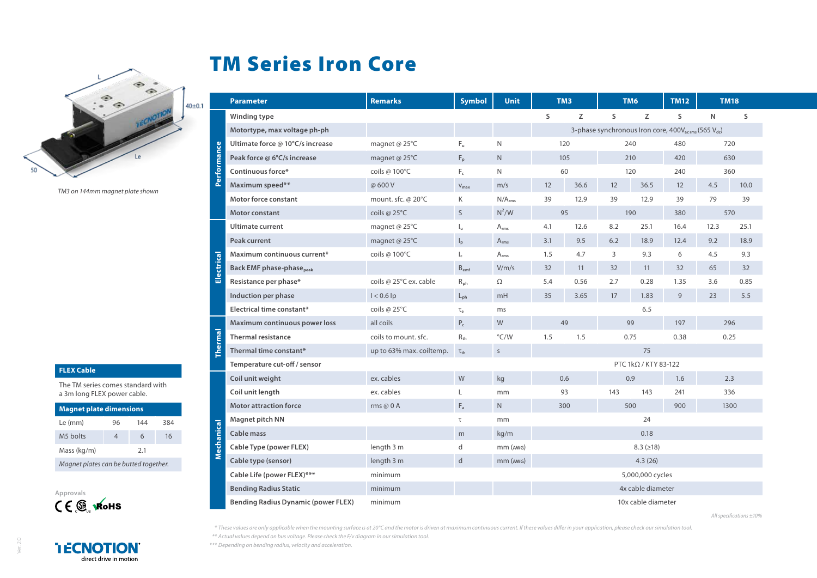## TM Series Iron Core



*TM3 on 144mm magnet plate shown*

## **FLEX Cable**

The TM series comes standard with a 3m long FLEX power cable.

| <b>Magnet plate dimensions</b>        |    |     |     |  |  |  |  |  |  |  |
|---------------------------------------|----|-----|-----|--|--|--|--|--|--|--|
| Le (mm)                               | 96 | 144 | 384 |  |  |  |  |  |  |  |
| M5 holts                              |    | 6   | 16  |  |  |  |  |  |  |  |
| Mass (kg/m)                           |    | 2.1 |     |  |  |  |  |  |  |  |
| Magnet plates can be butted together. |    |     |     |  |  |  |  |  |  |  |



|                | <b>Parameter</b>                            | <b>Remarks</b>                                                              | <b>Symbol</b>             | <b>Unit</b>        | TM3                         |      |              | TM6  | <b>TM12</b> | <b>TM18</b> |      |
|----------------|---------------------------------------------|-----------------------------------------------------------------------------|---------------------------|--------------------|-----------------------------|------|--------------|------|-------------|-------------|------|
|                | Winding type                                |                                                                             |                           |                    | S                           | Z    | S            | Z    | S           | N           | S    |
| Performance    | Motortype, max voltage ph-ph                | 3-phase synchronous Iron core, 400V <sub>acrms</sub> (565 V <sub>dc</sub> ) |                           |                    |                             |      |              |      |             |             |      |
|                | Ultimate force @ 10°C/s increase            | magnet @ 25°C                                                               | Fu.                       | N                  | 120                         |      | 240          |      | 480         | 720         |      |
|                | Peak force @ 6°C/s increase                 | magnet @ $25^{\circ}$ C                                                     | $F_p$                     | N.                 | 105                         |      | 210          |      | 420         | 630         |      |
|                | Continuous force*                           | coils @ 100°C                                                               | $F_c$                     | N                  | 60                          |      | 120          |      | 240         | 360         |      |
|                | Maximum speed**                             | @ 600 V                                                                     | $V_{\text{max}}$          | m/s                | 12                          | 36.6 | 12           | 36.5 | 12          | 4.5         | 10.0 |
|                | <b>Motor force constant</b>                 | mount. sfc. @ 20°C                                                          | K                         | N/A <sub>rms</sub> | 39                          | 12.9 | 39           | 12.9 | 39          | 79          | 39   |
|                | Motor constant                              | coils $@25^{\circ}C$                                                        | $\mathsf{S}$              | $N^2/W$            | 95                          |      | 190          |      | 380         | 570         |      |
| Electrical     | Ultimate current                            | magnet @ 25°C                                                               | Ιu                        | $A_{rms}$          | 4.1                         | 12.6 | 8.2          | 25.1 | 16.4        | 12.3        | 25.1 |
|                | Peak current                                | magnet @ 25°C                                                               | $\mathsf{I}_{\mathsf{D}}$ | $A_{rms}$          | 3.1                         | 9.5  | 6.2          | 18.9 | 12.4        | 9.2         | 18.9 |
|                | Maximum continuous current*                 | coils @ 100°C                                                               | $\mathsf{I}_\mathsf{c}$   | $A_{rms}$          | 1.5                         | 4.7  | 3            | 9.3  | 6           | 4.5         | 9.3  |
|                | <b>Back EMF phase-phase</b> <sub>peak</sub> |                                                                             | $B_{emf}$                 | V/m/s              | 32                          | 11   | 32           | 11   | 32          | 65          | 32   |
|                | Resistance per phase*                       | coils @ 25°C ex. cable                                                      | $R_{ph}$                  | Ω                  | 5.4                         | 0.56 | 2.7          | 0.28 | 1.35        | 3.6         | 0.85 |
|                | Induction per phase                         | $I < 0.6$ lp                                                                | $L_{\rm ph}$              | mH                 | 35                          | 3.65 | 17           | 1.83 | 9           | 23          | 5.5  |
|                | Electrical time constant*                   | coils $@25^{\circ}$ C                                                       | $\tau_e$                  | ms                 |                             | 6.5  |              |      |             |             |      |
| <b>Thermal</b> | Maximum continuous power loss               | all coils                                                                   | $P_c$                     | W                  | 49                          |      | 99           |      | 197         | 296         |      |
|                | <b>Thermal resistance</b>                   | coils to mount, sfc.                                                        | $R_{th}$                  | $\degree$ C/W      | 1.5                         | 1.5  | 0.75<br>0.38 |      | 0.25        |             |      |
|                | Thermal time constant*                      | up to 63% max. coiltemp.                                                    | $\tau_{\text{th}}$        | $\sf S$            |                             | 75   |              |      |             |             |      |
|                | Temperature cut-off / sensor                |                                                                             |                           |                    | PTC $1k\Omega$ / KTY 83-122 |      |              |      |             |             |      |
| Mechanical     | Coil unit weight                            | ex. cables                                                                  | W                         | kg                 | 0.6                         |      | 0.9          |      | 1.6         | 2.3         |      |
|                | Coil unit length                            | ex. cables                                                                  | L                         | mm                 | 93                          |      | 143          | 143  | 241         | 336         |      |
|                | <b>Motor attraction force</b>               | rms @ $0$ A                                                                 | $F_a$                     | N                  | 300                         |      | 500          |      | 900         | 1300        |      |
|                | <b>Magnet pitch NN</b>                      |                                                                             | $\tau$                    | mm                 | 24                          |      |              |      |             |             |      |
|                | <b>Cable mass</b>                           |                                                                             | m                         | kg/m               | 0.18                        |      |              |      |             |             |      |
|                | Cable Type (power FLEX)                     | length 3 m                                                                  | d                         | mm (AWG)           | $8.3$ ( $\geq 18$ )         |      |              |      |             |             |      |
|                | Cable type (sensor)                         | length 3 m                                                                  | d                         | $mm$ ( $AWG$ )     | 4.3(26)                     |      |              |      |             |             |      |
|                | Cable Life (power FLEX)***                  | minimum                                                                     |                           |                    | 5,000,000 cycles            |      |              |      |             |             |      |
|                | <b>Bending Radius Static</b>                | minimum                                                                     |                           |                    | 4x cable diameter           |      |              |      |             |             |      |
|                | <b>Bending Radius Dynamic (power FLEX)</b>  | minimum                                                                     |                           |                    | 10x cable diameter          |      |              |      |             |             |      |

*All specifications ±10%*

*\* These values are only applicable when the mounting surface is at 20°C and the motor is driven at maximum continuous current. If these values differ in your application, please check our simulation tool. \*\* Actual values depend on bus voltage. Please check the F/v diagram in our simulation tool.*

*\*\*\* Depending on bending radius, velocity and acceleration.*

**I ECNOTION** direct drive in motion